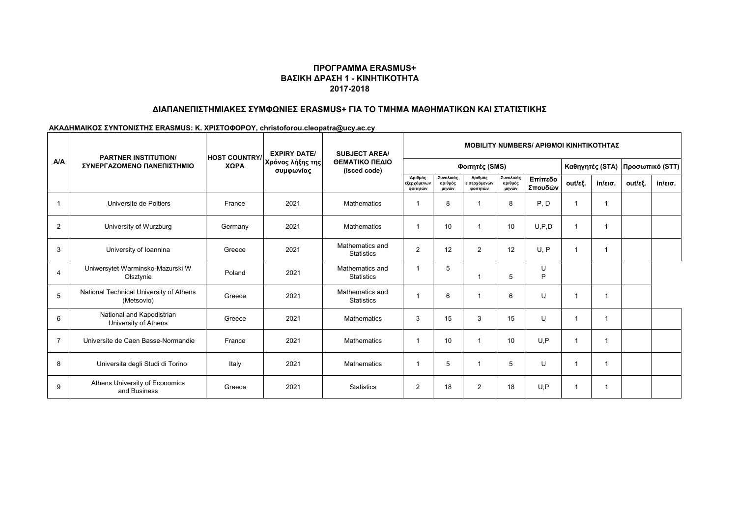## **ΒΑΣΙΚΗ ΔΡΑΣΗ 1 - ΚΙΝΗΤΙΚΟΤΗΤΑ 2017-2018 ΠΡΟΓΡΑΜΜΑ ERASMUS+**

### **ΔΙΑΠΑΝΕΠΙΣΤΗΜΙΑΚΕΣ ΣΥΜΦΩΝΙΕΣ ERASMUS+ ΓΙΑ ΤΟ ΤΜΗΜΑ ΜΑΘΗΜΑΤΙΚΩΝ ΚΑΙ ΣΤΑΤΙΣΤΙΚΗΣ**

#### **ΑΚΑΔΗΜΑΙΚΟΣ ΣΥΝΤΟΝΙΣΤΗΣ ERASMUS: K. ΧΡΙΣΤΟΦΟΡΟΥ, christoforou.cleopatra@ucy.ac.cy**

|                | <b>PARTNER INSTITUTION/</b><br>ΣΥΝΕΡΓΑΖΟΜΕΝΟ ΠΑΝΕΠΙΣΤΗΜΙΟ | <b>HOST COUNTRY/</b><br>ΧΩΡΑ | <b>EXPIRY DATE/</b><br>Χρόνος λήξης της<br>συμφωνίας | <b>SUBJECT AREA/</b><br>ΘΕΜΑΤΙΚΟ ΠΕΔΙΟ<br>(isced code) | <b>MOBILITY NUMBERS/ ΑΡΙΘΜΟΙ ΚΙΝΗΤΙΚΟΤΗΤΑΣ</b> |                               |                                     |                               |                    |         |                   |                                   |                   |
|----------------|-----------------------------------------------------------|------------------------------|------------------------------------------------------|--------------------------------------------------------|------------------------------------------------|-------------------------------|-------------------------------------|-------------------------------|--------------------|---------|-------------------|-----------------------------------|-------------------|
| A/A            |                                                           |                              |                                                      |                                                        | Φοιτητές (SMS)                                 |                               |                                     |                               |                    |         |                   | Καθηγητές (STA)   Προσωπικό (STT) |                   |
|                |                                                           |                              |                                                      |                                                        | Αριθμός<br>εξερχόμενων<br>φοιτητών             | Συνολικός<br>αριθμός<br>μηνών | Αριθμός<br>εισερχόμενων<br>φοιτητών | Συνολικός<br>αριθμός<br>μηνών | Επίπεδο<br>Σπουδών | out/εξ. | $in/\epsilon$ ισ. | out/εξ.                           | $in/\epsilon$ ισ. |
|                | Universite de Poitiers                                    | France                       | 2021                                                 | <b>Mathematics</b>                                     |                                                | 8                             |                                     | 8                             | P, D               | 1       |                   |                                   |                   |
| $\overline{2}$ | University of Wurzburg                                    | Germany                      | 2021                                                 | <b>Mathematics</b>                                     | -1                                             | 10                            |                                     | 10                            | U.P.D              | 1       |                   |                                   |                   |
| 3              | University of Ioannina                                    | Greece                       | 2021                                                 | Mathematics and<br><b>Statistics</b>                   | $\overline{2}$                                 | 12                            | 2                                   | 12                            | U, P               |         |                   |                                   |                   |
| $\overline{4}$ | Uniwersytet Warminsko-Mazurski W<br>Olsztynie             | Poland                       | 2021                                                 | Mathematics and<br><b>Statistics</b>                   | $\overline{1}$                                 | 5                             |                                     | 5                             | U<br>P             |         |                   |                                   |                   |
| 5              | National Technical University of Athens<br>(Metsovio)     | Greece                       | 2021                                                 | Mathematics and<br><b>Statistics</b>                   |                                                | 6                             |                                     | 6                             | U                  |         |                   |                                   |                   |
| 6              | National and Kapodistrian<br>University of Athens         | Greece                       | 2021                                                 | Mathematics                                            | 3                                              | 15                            | 3                                   | 15                            | U                  |         |                   |                                   |                   |
| $\overline{7}$ | Universite de Caen Basse-Normandie                        | France                       | 2021                                                 | Mathematics                                            | -1                                             | 10                            |                                     | 10                            | U.P                |         |                   |                                   |                   |
| 8              | Universita degli Studi di Torino                          | Italy                        | 2021                                                 | Mathematics                                            | -1                                             | 5                             |                                     | 5                             | U                  |         |                   |                                   |                   |
| 9              | Athens University of Economics<br>and Business            | Greece                       | 2021                                                 | <b>Statistics</b>                                      | $\overline{2}$                                 | 18                            | $\overline{2}$                      | 18                            | U, P               |         |                   |                                   |                   |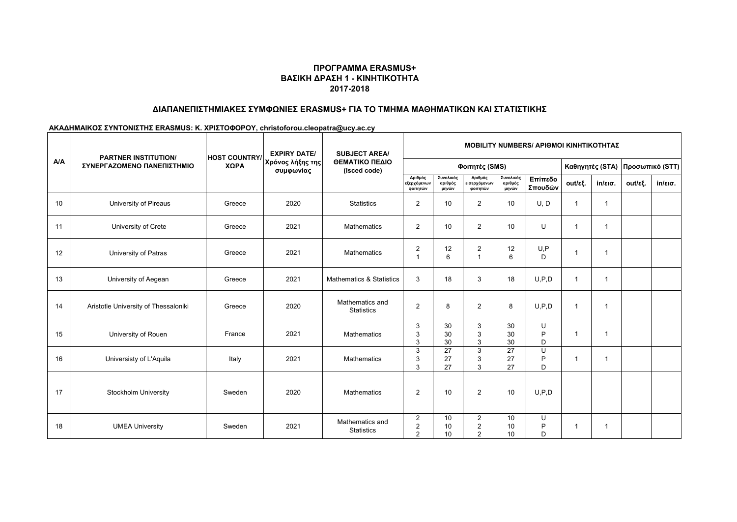## **ΒΑΣΙΚΗ ΔΡΑΣΗ 1 - ΚΙΝΗΤΙΚΟΤΗΤΑ 2017-2018 ΠΡΟΓΡΑΜΜΑ ERASMUS+**

### **ΔΙΑΠΑΝΕΠΙΣΤΗΜΙΑΚΕΣ ΣΥΜΦΩΝΙΕΣ ERASMUS+ ΓΙΑ ΤΟ ΤΜΗΜΑ ΜΑΘΗΜΑΤΙΚΩΝ ΚΑΙ ΣΤΑΤΙΣΤΙΚΗΣ**

#### **ΑΚΑΔΗΜΑΙΚΟΣ ΣΥΝΤΟΝΙΣΤΗΣ ERASMUS: K. ΧΡΙΣΤΟΦΟΡΟΥ, christoforou.cleopatra@ucy.ac.cy**

|     | <b>PARTNER INSTITUTION/</b><br>ΣΥΝΕΡΓΑΖΟΜΕΝΟ ΠΑΝΕΠΙΣΤΗΜΙΟ | <b>HOST COUNTRY/</b><br>ΧΩΡΑ | <b>EXPIRY DATE/</b><br>Χρόνος λήξης της<br>συμφωνίας | <b>SUBJECT AREA/</b><br>ΘΕΜΑΤΙΚΟ ΠΕΔΙΟ<br>(isced code) | <b>ΜΟΒΙLITY NUMBERS/ ΑΡΙΘΜΟΙ ΚΙΝΗΤΙΚΟΤΗΤΑΣ</b>     |                               |                                                    |                               |                    |                 |                   |                 |                   |
|-----|-----------------------------------------------------------|------------------------------|------------------------------------------------------|--------------------------------------------------------|----------------------------------------------------|-------------------------------|----------------------------------------------------|-------------------------------|--------------------|-----------------|-------------------|-----------------|-------------------|
| A/A |                                                           |                              |                                                      |                                                        | Φοιτητές (SMS)                                     |                               |                                                    |                               |                    | Καθηγητές (STA) |                   | Προσωπικό (STT) |                   |
|     |                                                           |                              |                                                      |                                                        | Αριθμός<br>εξερχόμενων<br>φοιτητών                 | Συνολικός<br>αριθμός<br>μηνών | Αριθμός<br>εισερχόμενων<br>φοιτητών                | Συνολικός<br>αριθμός<br>μηνών | Επίπεδο<br>Σπουδών | out/εξ.         | $in/\epsilon$ ισ. | out/εξ.         | $in/\epsilon$ ισ. |
| 10  | University of Pireaus                                     | Greece                       | 2020                                                 | <b>Statistics</b>                                      | 2                                                  | 10                            | $\overline{2}$                                     | 10                            | U, D               |                 |                   |                 |                   |
| 11  | University of Crete                                       | Greece                       | 2021                                                 | Mathematics                                            | $\overline{2}$                                     | 10                            | $\overline{2}$                                     | 10                            | U                  |                 |                   |                 |                   |
| 12  | University of Patras                                      | Greece                       | 2021                                                 | <b>Mathematics</b>                                     | $\overline{2}$<br>$\overline{1}$                   | 12<br>6                       | $\overline{a}$                                     | 12<br>6                       | U, P<br>D          |                 |                   |                 |                   |
| 13  | University of Aegean                                      | Greece                       | 2021                                                 | <b>Mathematics &amp; Statistics</b>                    | 3                                                  | 18                            | 3                                                  | 18                            | U, P, D            | -1              |                   |                 |                   |
| 14  | Aristotle University of Thessaloniki                      | Greece                       | 2020                                                 | Mathematics and<br><b>Statistics</b>                   | $\overline{2}$                                     | 8                             | $\overline{2}$                                     | 8                             | U, P, D            | -1              |                   |                 |                   |
| 15  | University of Rouen                                       | France                       | 2021                                                 | Mathematics                                            | 3<br>3<br>3                                        | 30<br>30<br>30                | 3<br>3<br>3                                        | 30<br>30<br>30                | U<br>P<br>D        |                 |                   |                 |                   |
| 16  | Universisty of L'Aquila                                   | Italy                        | 2021                                                 | <b>Mathematics</b>                                     | 3<br>3<br>3                                        | 27<br>27<br>27                | 3<br>3<br>3                                        | 27<br>27<br>27                | U<br>P<br>D        |                 |                   |                 |                   |
| 17  | Stockholm University                                      | Sweden                       | 2020                                                 | <b>Mathematics</b>                                     | $\overline{2}$                                     | 10                            | $\overline{2}$                                     | 10                            | U, P, D            |                 |                   |                 |                   |
| 18  | <b>UMEA University</b>                                    | Sweden                       | 2021                                                 | Mathematics and<br><b>Statistics</b>                   | $\overline{2}$<br>$\overline{2}$<br>$\overline{2}$ | 10<br>10<br>10                | $\overline{a}$<br>$\overline{2}$<br>$\overline{2}$ | 10<br>10<br>10                | U<br>P<br>D        |                 |                   |                 |                   |